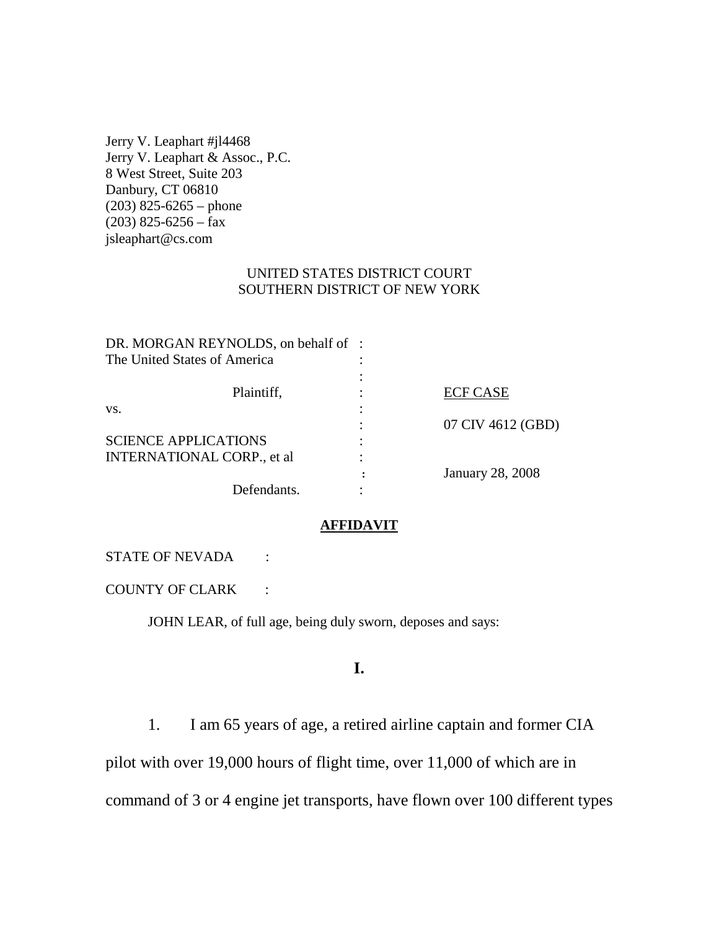Jerry V. Leaphart #jl4468 Jerry V. Leaphart & Assoc., P.C. 8 West Street, Suite 203 Danbury, CT 06810 (203) 825-6265 – phone  $(203)$  825-6256 – fax jsleaphart@cs.com

### UNITED STATES DISTRICT COURT SOUTHERN DISTRICT OF NEW YORK

| DR. MORGAN REYNOLDS, on behalf of: |                         |
|------------------------------------|-------------------------|
|                                    |                         |
|                                    |                         |
|                                    | <b>ECF CASE</b>         |
|                                    |                         |
|                                    | 07 CIV 4612 (GBD)       |
|                                    |                         |
|                                    |                         |
|                                    | <b>January 28, 2008</b> |
|                                    |                         |
|                                    |                         |

#### **AFFIDAVIT**

#### STATE OF NEVADA :

COUNTY OF CLARK :

JOHN LEAR, of full age, being duly sworn, deposes and says:

# **I.**

1. I am 65 years of age, a retired airline captain and former CIA pilot with over 19,000 hours of flight time, over 11,000 of which are in

command of 3 or 4 engine jet transports, have flown over 100 different types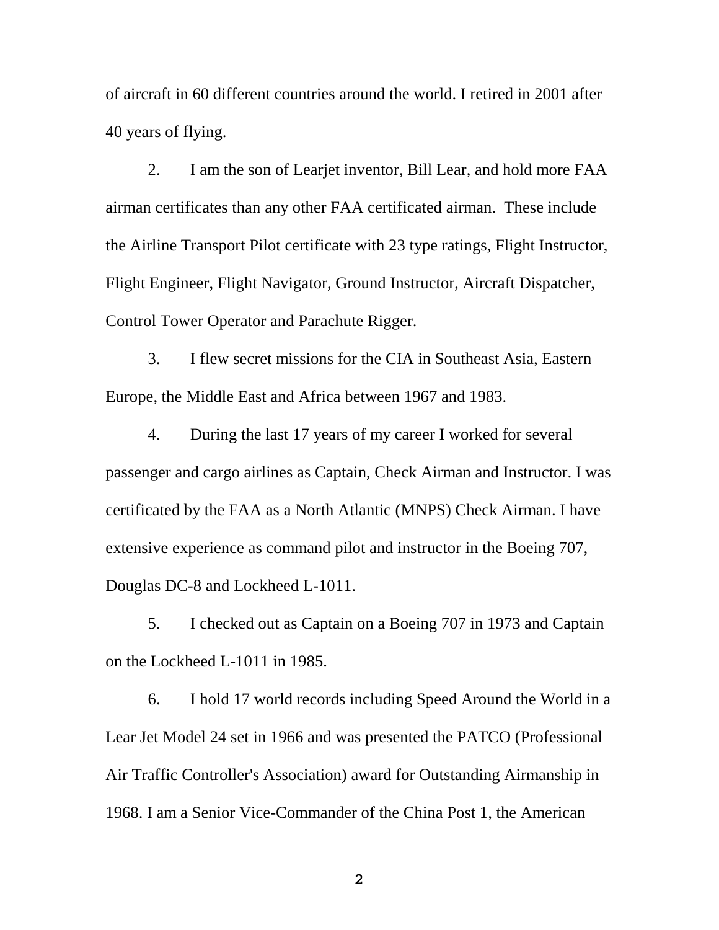of aircraft in 60 different countries around the world. I retired in 2001 after 40 years of flying.

2. I am the son of Learjet inventor, Bill Lear, and hold more FAA airman certificates than any other FAA certificated airman. These include the Airline Transport Pilot certificate with 23 type ratings, Flight Instructor, Flight Engineer, Flight Navigator, Ground Instructor, Aircraft Dispatcher, Control Tower Operator and Parachute Rigger.

3. I flew secret missions for the CIA in Southeast Asia, Eastern Europe, the Middle East and Africa between 1967 and 1983.

4. During the last 17 years of my career I worked for several passenger and cargo airlines as Captain, Check Airman and Instructor. I was certificated by the FAA as a North Atlantic (MNPS) Check Airman. I have extensive experience as command pilot and instructor in the Boeing 707, Douglas DC-8 and Lockheed L-1011.

5. I checked out as Captain on a Boeing 707 in 1973 and Captain on the Lockheed L-1011 in 1985.

6. I hold 17 world records including Speed Around the World in a Lear Jet Model 24 set in 1966 and was presented the PATCO (Professional Air Traffic Controller's Association) award for Outstanding Airmanship in 1968. I am a Senior Vice-Commander of the China Post 1, the American

**2**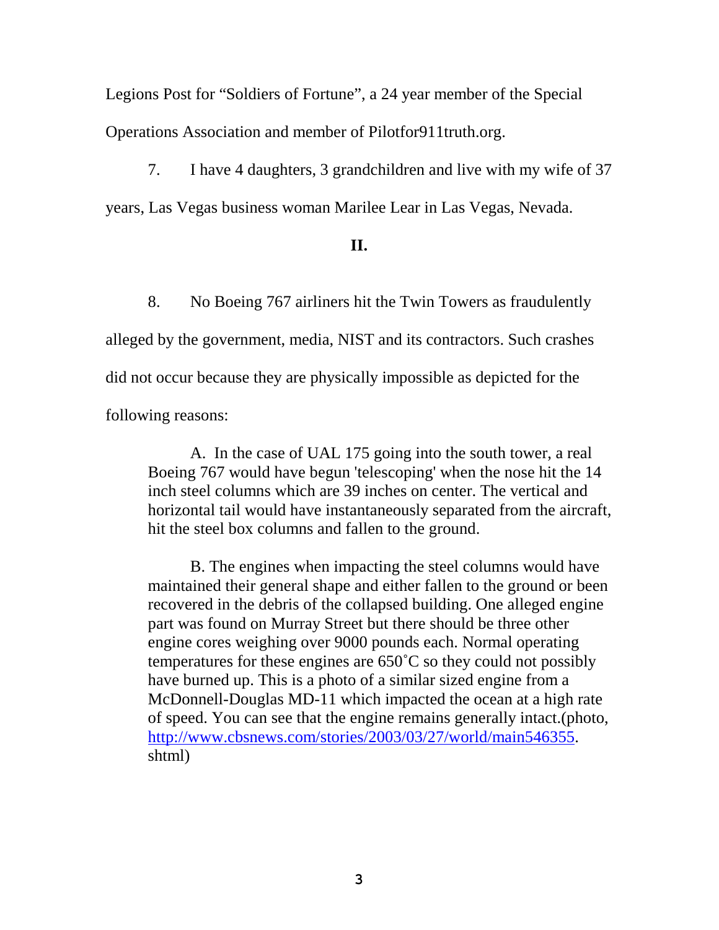Legions Post for "Soldiers of Fortune", a 24 year member of the Special Operations Association and member of Pilotfor911truth.org.

7. I have 4 daughters, 3 grandchildren and live with my wife of 37 years, Las Vegas business woman Marilee Lear in Las Vegas, Nevada.

## **II.**

8. No Boeing 767 airliners hit the Twin Towers as fraudulently alleged by the government, media, NIST and its contractors. Such crashes did not occur because they are physically impossible as depicted for the following reasons:

A. In the case of UAL 175 going into the south tower, a real Boeing 767 would have begun 'telescoping' when the nose hit the 14 inch steel columns which are 39 inches on center. The vertical and horizontal tail would have instantaneously separated from the aircraft, hit the steel box columns and fallen to the ground.

B. The engines when impacting the steel columns would have maintained their general shape and either fallen to the ground or been recovered in the debris of the collapsed building. One alleged engine part was found on Murray Street but there should be three other engine cores weighing over 9000 pounds each. Normal operating temperatures for these engines are 650˚C so they could not possibly have burned up. This is a photo of a similar sized engine from a McDonnell-Douglas MD-11 which impacted the ocean at a high rate of speed. You can see that the engine remains generally intact.(photo, http://www.cbsnews.com/stories/2003/03/27/world/main546355. shtml)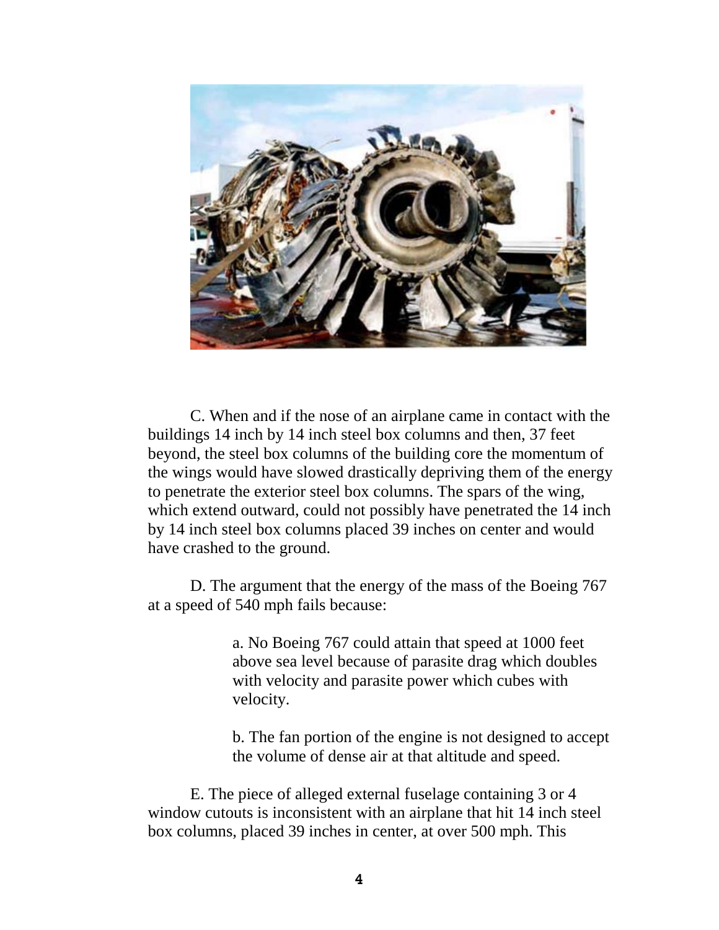

C. When and if the nose of an airplane came in contact with the buildings 14 inch by 14 inch steel box columns and then, 37 feet beyond, the steel box columns of the building core the momentum of the wings would have slowed drastically depriving them of the energy to penetrate the exterior steel box columns. The spars of the wing, which extend outward, could not possibly have penetrated the 14 inch by 14 inch steel box columns placed 39 inches on center and would have crashed to the ground.

D. The argument that the energy of the mass of the Boeing 767 at a speed of 540 mph fails because:

> a. No Boeing 767 could attain that speed at 1000 feet above sea level because of parasite drag which doubles with velocity and parasite power which cubes with velocity.

b. The fan portion of the engine is not designed to accept the volume of dense air at that altitude and speed.

E. The piece of alleged external fuselage containing 3 or 4 window cutouts is inconsistent with an airplane that hit 14 inch steel box columns, placed 39 inches in center, at over 500 mph. This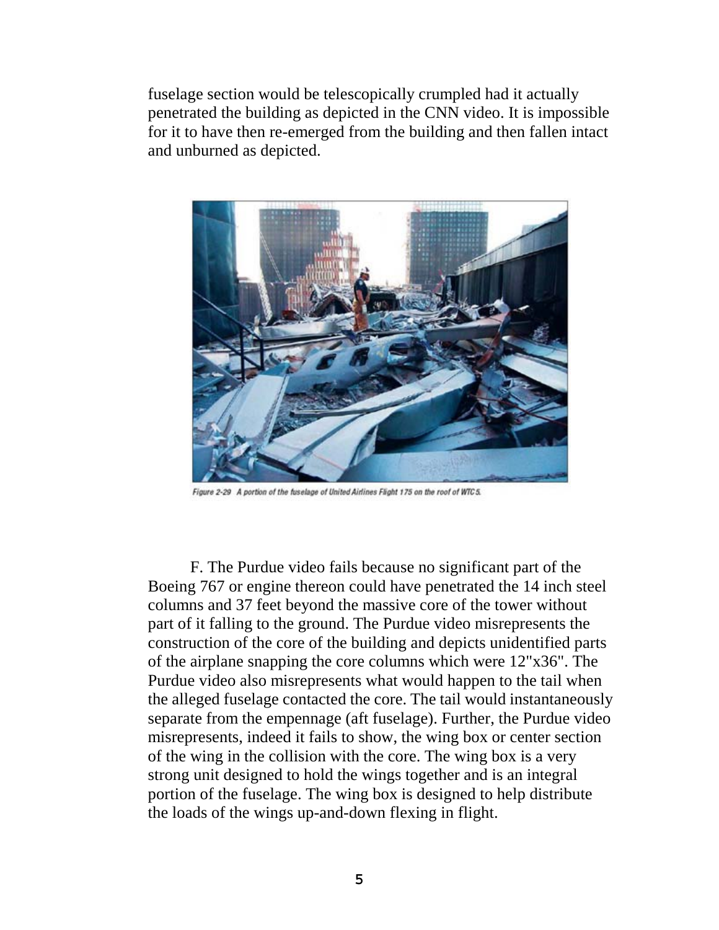fuselage section would be telescopically crumpled had it actually penetrated the building as depicted in the CNN video. It is impossible for it to have then re-emerged from the building and then fallen intact and unburned as depicted.



Figure 2-29 A portion of the fuselage of United Airlines Flight 175 on the roof of WTC 5.

F. The Purdue video fails because no significant part of the Boeing 767 or engine thereon could have penetrated the 14 inch steel columns and 37 feet beyond the massive core of the tower without part of it falling to the ground. The Purdue video misrepresents the construction of the core of the building and depicts unidentified parts of the airplane snapping the core columns which were 12"x36". The Purdue video also misrepresents what would happen to the tail when the alleged fuselage contacted the core. The tail would instantaneously separate from the empennage (aft fuselage). Further, the Purdue video misrepresents, indeed it fails to show, the wing box or center section of the wing in the collision with the core. The wing box is a very strong unit designed to hold the wings together and is an integral portion of the fuselage. The wing box is designed to help distribute the loads of the wings up-and-down flexing in flight.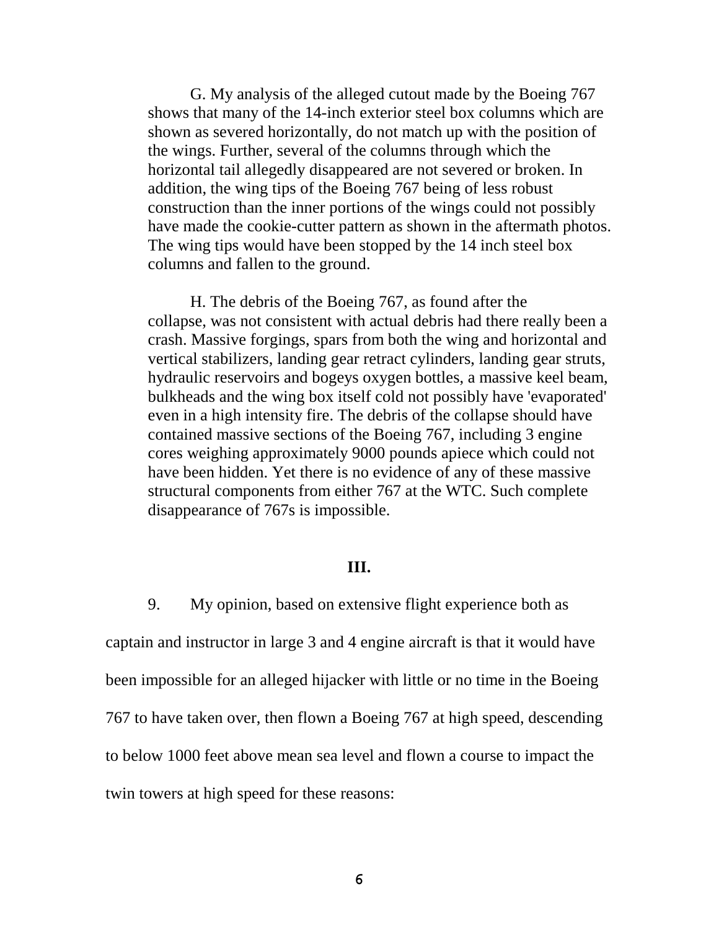G. My analysis of the alleged cutout made by the Boeing 767 shows that many of the 14-inch exterior steel box columns which are shown as severed horizontally, do not match up with the position of the wings. Further, several of the columns through which the horizontal tail allegedly disappeared are not severed or broken. In addition, the wing tips of the Boeing 767 being of less robust construction than the inner portions of the wings could not possibly have made the cookie-cutter pattern as shown in the aftermath photos. The wing tips would have been stopped by the 14 inch steel box columns and fallen to the ground.

H. The debris of the Boeing 767, as found after the collapse, was not consistent with actual debris had there really been a crash. Massive forgings, spars from both the wing and horizontal and vertical stabilizers, landing gear retract cylinders, landing gear struts, hydraulic reservoirs and bogeys oxygen bottles, a massive keel beam, bulkheads and the wing box itself cold not possibly have 'evaporated' even in a high intensity fire. The debris of the collapse should have contained massive sections of the Boeing 767, including 3 engine cores weighing approximately 9000 pounds apiece which could not have been hidden. Yet there is no evidence of any of these massive structural components from either 767 at the WTC. Such complete disappearance of 767s is impossible.

## **III.**

9. My opinion, based on extensive flight experience both as

captain and instructor in large 3 and 4 engine aircraft is that it would have been impossible for an alleged hijacker with little or no time in the Boeing 767 to have taken over, then flown a Boeing 767 at high speed, descending to below 1000 feet above mean sea level and flown a course to impact the twin towers at high speed for these reasons: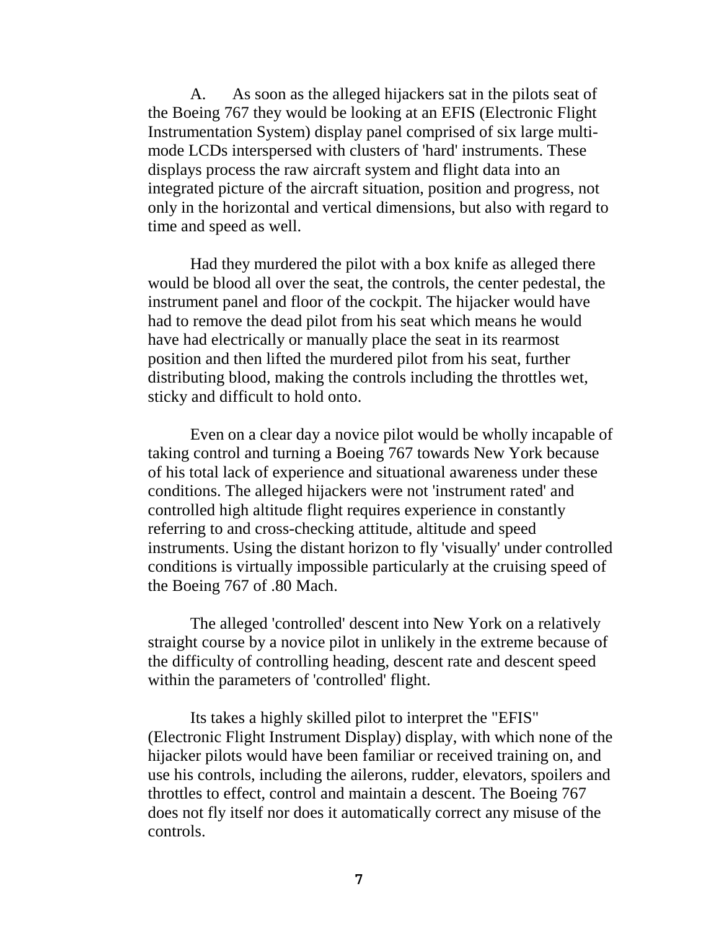A. As soon as the alleged hijackers sat in the pilots seat of the Boeing 767 they would be looking at an EFIS (Electronic Flight Instrumentation System) display panel comprised of six large multimode LCDs interspersed with clusters of 'hard' instruments. These displays process the raw aircraft system and flight data into an integrated picture of the aircraft situation, position and progress, not only in the horizontal and vertical dimensions, but also with regard to time and speed as well.

Had they murdered the pilot with a box knife as alleged there would be blood all over the seat, the controls, the center pedestal, the instrument panel and floor of the cockpit. The hijacker would have had to remove the dead pilot from his seat which means he would have had electrically or manually place the seat in its rearmost position and then lifted the murdered pilot from his seat, further distributing blood, making the controls including the throttles wet, sticky and difficult to hold onto.

Even on a clear day a novice pilot would be wholly incapable of taking control and turning a Boeing 767 towards New York because of his total lack of experience and situational awareness under these conditions. The alleged hijackers were not 'instrument rated' and controlled high altitude flight requires experience in constantly referring to and cross-checking attitude, altitude and speed instruments. Using the distant horizon to fly 'visually' under controlled conditions is virtually impossible particularly at the cruising speed of the Boeing 767 of .80 Mach.

The alleged 'controlled' descent into New York on a relatively straight course by a novice pilot in unlikely in the extreme because of the difficulty of controlling heading, descent rate and descent speed within the parameters of 'controlled' flight.

Its takes a highly skilled pilot to interpret the "EFIS" (Electronic Flight Instrument Display) display, with which none of the hijacker pilots would have been familiar or received training on, and use his controls, including the ailerons, rudder, elevators, spoilers and throttles to effect, control and maintain a descent. The Boeing 767 does not fly itself nor does it automatically correct any misuse of the controls.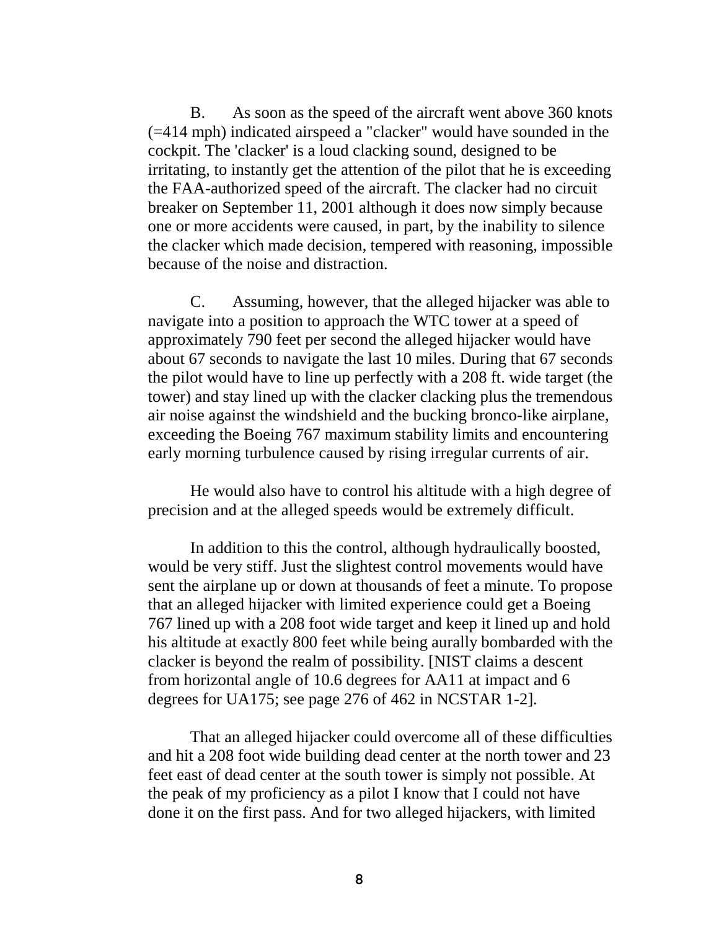B. As soon as the speed of the aircraft went above 360 knots (=414 mph) indicated airspeed a "clacker" would have sounded in the cockpit. The 'clacker' is a loud clacking sound, designed to be irritating, to instantly get the attention of the pilot that he is exceeding the FAA-authorized speed of the aircraft. The clacker had no circuit breaker on September 11, 2001 although it does now simply because one or more accidents were caused, in part, by the inability to silence the clacker which made decision, tempered with reasoning, impossible because of the noise and distraction.

C. Assuming, however, that the alleged hijacker was able to navigate into a position to approach the WTC tower at a speed of approximately 790 feet per second the alleged hijacker would have about 67 seconds to navigate the last 10 miles. During that 67 seconds the pilot would have to line up perfectly with a 208 ft. wide target (the tower) and stay lined up with the clacker clacking plus the tremendous air noise against the windshield and the bucking bronco-like airplane, exceeding the Boeing 767 maximum stability limits and encountering early morning turbulence caused by rising irregular currents of air.

He would also have to control his altitude with a high degree of precision and at the alleged speeds would be extremely difficult.

In addition to this the control, although hydraulically boosted, would be very stiff. Just the slightest control movements would have sent the airplane up or down at thousands of feet a minute. To propose that an alleged hijacker with limited experience could get a Boeing 767 lined up with a 208 foot wide target and keep it lined up and hold his altitude at exactly 800 feet while being aurally bombarded with the clacker is beyond the realm of possibility. [NIST claims a descent from horizontal angle of 10.6 degrees for AA11 at impact and 6 degrees for UA175; see page 276 of 462 in NCSTAR 1-2].

That an alleged hijacker could overcome all of these difficulties and hit a 208 foot wide building dead center at the north tower and 23 feet east of dead center at the south tower is simply not possible. At the peak of my proficiency as a pilot I know that I could not have done it on the first pass. And for two alleged hijackers, with limited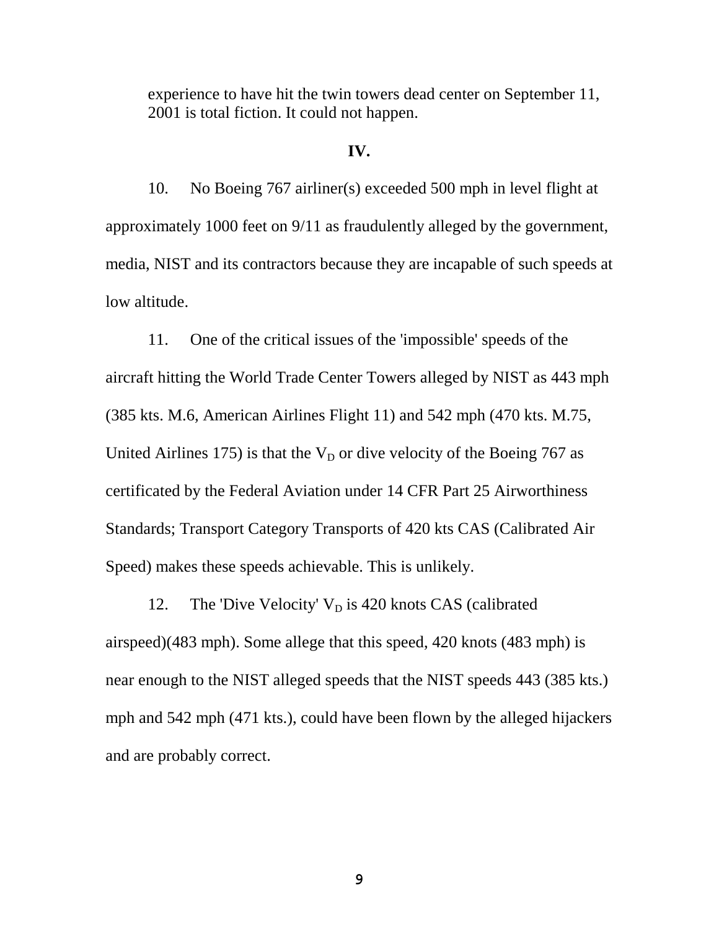experience to have hit the twin towers dead center on September 11, 2001 is total fiction. It could not happen.

### **IV.**

10. No Boeing 767 airliner(s) exceeded 500 mph in level flight at approximately 1000 feet on 9/11 as fraudulently alleged by the government, media, NIST and its contractors because they are incapable of such speeds at low altitude.

11. One of the critical issues of the 'impossible' speeds of the aircraft hitting the World Trade Center Towers alleged by NIST as 443 mph (385 kts. M.6, American Airlines Flight 11) and 542 mph (470 kts. M.75, United Airlines 175) is that the  $V_D$  or dive velocity of the Boeing 767 as certificated by the Federal Aviation under 14 CFR Part 25 Airworthiness Standards; Transport Category Transports of 420 kts CAS (Calibrated Air Speed) makes these speeds achievable. This is unlikely.

12. The 'Dive Velocity'  $V_D$  is 420 knots CAS (calibrated airspeed)(483 mph). Some allege that this speed, 420 knots (483 mph) is near enough to the NIST alleged speeds that the NIST speeds 443 (385 kts.) mph and 542 mph (471 kts.), could have been flown by the alleged hijackers and are probably correct.

**9**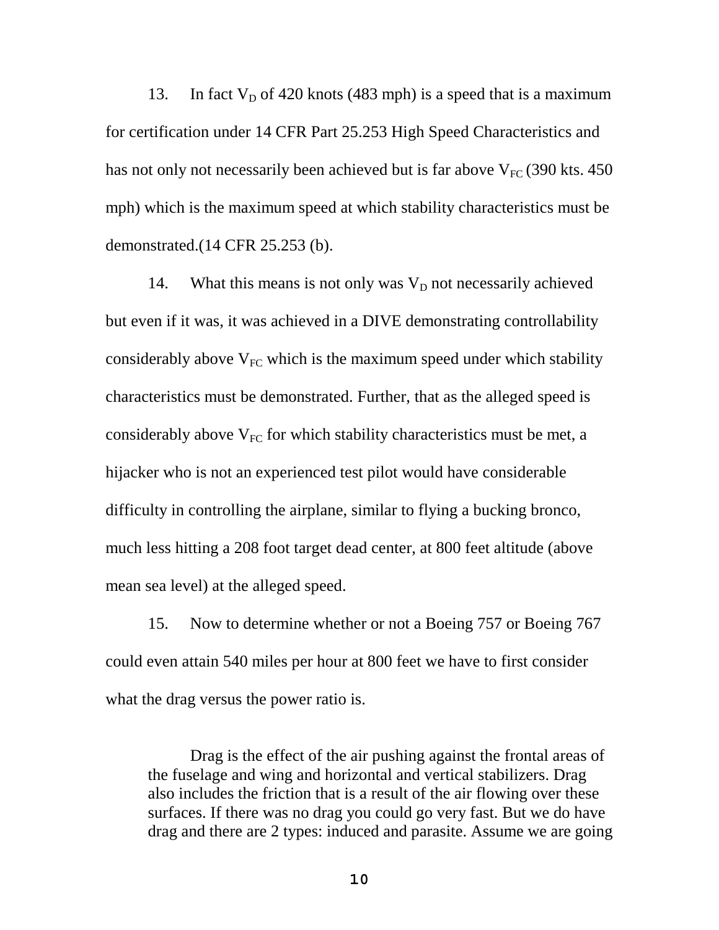13. In fact  $V_D$  of 420 knots (483 mph) is a speed that is a maximum for certification under 14 CFR Part 25.253 High Speed Characteristics and has not only not necessarily been achieved but is far above  $V_{FC}$  (390 kts. 450) mph) which is the maximum speed at which stability characteristics must be demonstrated.(14 CFR 25.253 (b).

14. What this means is not only was  $V_D$  not necessarily achieved but even if it was, it was achieved in a DIVE demonstrating controllability considerably above  $V_{FC}$  which is the maximum speed under which stability characteristics must be demonstrated. Further, that as the alleged speed is considerably above  $V_{FC}$  for which stability characteristics must be met, a hijacker who is not an experienced test pilot would have considerable difficulty in controlling the airplane, similar to flying a bucking bronco, much less hitting a 208 foot target dead center, at 800 feet altitude (above mean sea level) at the alleged speed.

15. Now to determine whether or not a Boeing 757 or Boeing 767 could even attain 540 miles per hour at 800 feet we have to first consider what the drag versus the power ratio is.

Drag is the effect of the air pushing against the frontal areas of the fuselage and wing and horizontal and vertical stabilizers. Drag also includes the friction that is a result of the air flowing over these surfaces. If there was no drag you could go very fast. But we do have drag and there are 2 types: induced and parasite. Assume we are going

**10**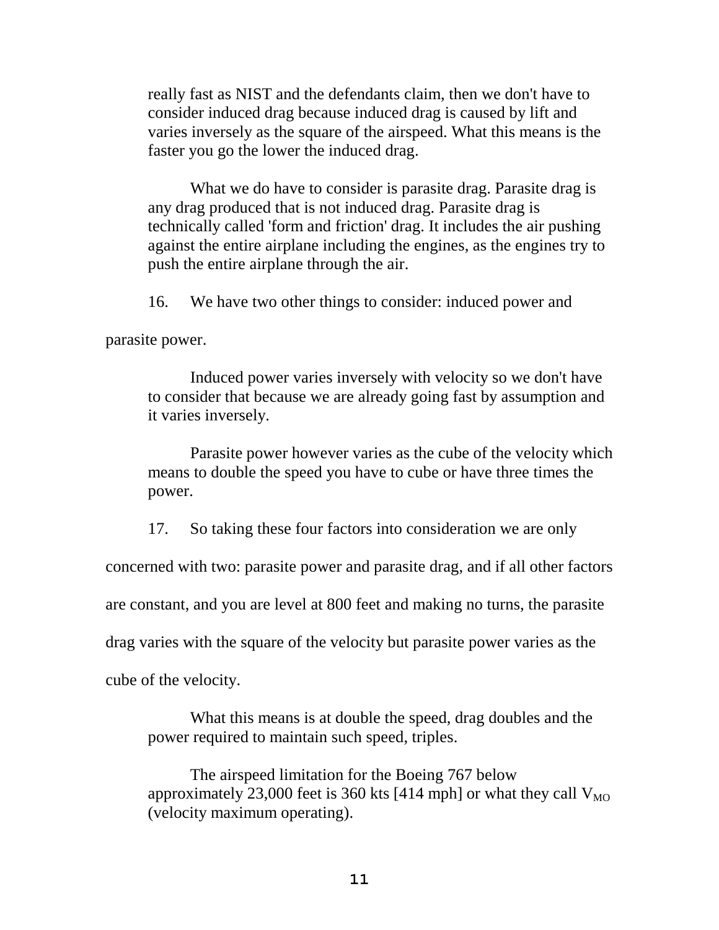really fast as NIST and the defendants claim, then we don't have to consider induced drag because induced drag is caused by lift and varies inversely as the square of the airspeed. What this means is the faster you go the lower the induced drag.

What we do have to consider is parasite drag. Parasite drag is any drag produced that is not induced drag. Parasite drag is technically called 'form and friction' drag. It includes the air pushing against the entire airplane including the engines, as the engines try to push the entire airplane through the air.

16. We have two other things to consider: induced power and

parasite power.

Induced power varies inversely with velocity so we don't have to consider that because we are already going fast by assumption and it varies inversely.

Parasite power however varies as the cube of the velocity which means to double the speed you have to cube or have three times the power.

17. So taking these four factors into consideration we are only

concerned with two: parasite power and parasite drag, and if all other factors

are constant, and you are level at 800 feet and making no turns, the parasite

drag varies with the square of the velocity but parasite power varies as the

cube of the velocity.

What this means is at double the speed, drag doubles and the power required to maintain such speed, triples.

The airspeed limitation for the Boeing 767 below approximately 23,000 feet is 360 kts [414 mph] or what they call  $V_{MO}$ (velocity maximum operating).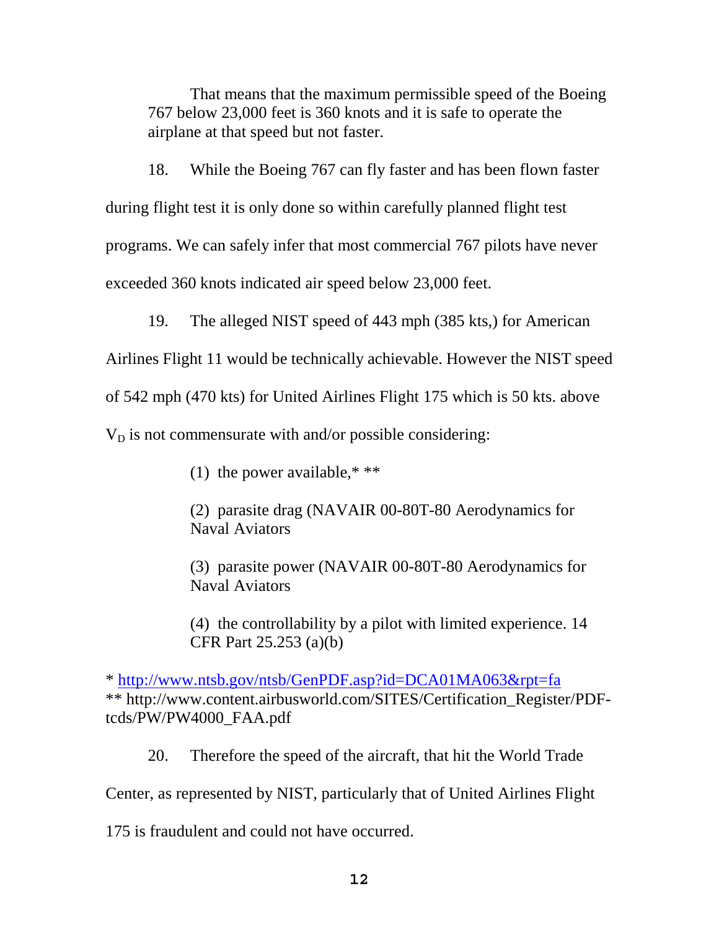That means that the maximum permissible speed of the Boeing 767 below 23,000 feet is 360 knots and it is safe to operate the airplane at that speed but not faster.

18. While the Boeing 767 can fly faster and has been flown faster during flight test it is only done so within carefully planned flight test programs. We can safely infer that most commercial 767 pilots have never exceeded 360 knots indicated air speed below 23,000 feet.

19. The alleged NIST speed of 443 mph (385 kts,) for American

Airlines Flight 11 would be technically achievable. However the NIST speed

of 542 mph (470 kts) for United Airlines Flight 175 which is 50 kts. above

 $V_D$  is not commensurate with and/or possible considering:

(1) the power available,\* \*\*

(2) parasite drag (NAVAIR 00-80T-80 Aerodynamics for Naval Aviators

(3) parasite power (NAVAIR 00-80T-80 Aerodynamics for Naval Aviators

(4) the controllability by a pilot with limited experience. 14 CFR Part 25.253 (a)(b)

\* http://www.ntsb.gov/ntsb/GenPDF.asp?id=DCA01MA063&rpt=fa \*\* http://www.content.airbusworld.com/SITES/Certification\_Register/PDFtcds/PW/PW4000\_FAA.pdf

20. Therefore the speed of the aircraft, that hit the World Trade

Center, as represented by NIST, particularly that of United Airlines Flight

175 is fraudulent and could not have occurred.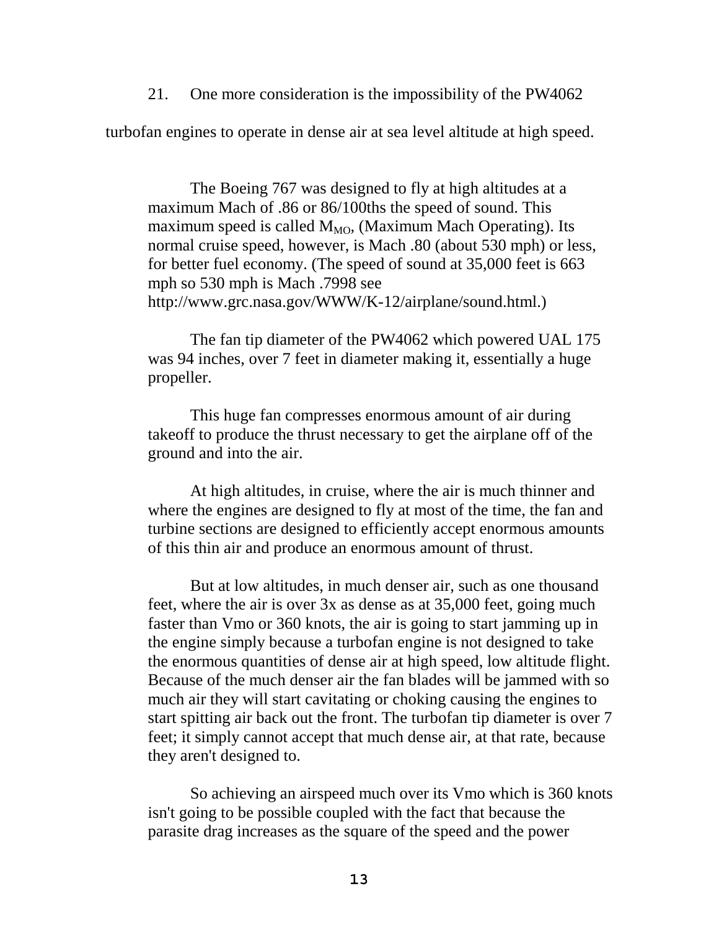21. One more consideration is the impossibility of the PW4062

turbofan engines to operate in dense air at sea level altitude at high speed.

The Boeing 767 was designed to fly at high altitudes at a maximum Mach of .86 or 86/100ths the speed of sound. This maximum speed is called  $M_{MO}$ , (Maximum Mach Operating). Its normal cruise speed, however, is Mach .80 (about 530 mph) or less, for better fuel economy. (The speed of sound at 35,000 feet is 663 mph so 530 mph is Mach .7998 see http://www.grc.nasa.gov/WWW/K-12/airplane/sound.html.)

The fan tip diameter of the PW4062 which powered UAL 175 was 94 inches, over 7 feet in diameter making it, essentially a huge propeller.

This huge fan compresses enormous amount of air during takeoff to produce the thrust necessary to get the airplane off of the ground and into the air.

At high altitudes, in cruise, where the air is much thinner and where the engines are designed to fly at most of the time, the fan and turbine sections are designed to efficiently accept enormous amounts of this thin air and produce an enormous amount of thrust.

But at low altitudes, in much denser air, such as one thousand feet, where the air is over 3x as dense as at 35,000 feet, going much faster than Vmo or 360 knots, the air is going to start jamming up in the engine simply because a turbofan engine is not designed to take the enormous quantities of dense air at high speed, low altitude flight. Because of the much denser air the fan blades will be jammed with so much air they will start cavitating or choking causing the engines to start spitting air back out the front. The turbofan tip diameter is over 7 feet; it simply cannot accept that much dense air, at that rate, because they aren't designed to.

So achieving an airspeed much over its Vmo which is 360 knots isn't going to be possible coupled with the fact that because the parasite drag increases as the square of the speed and the power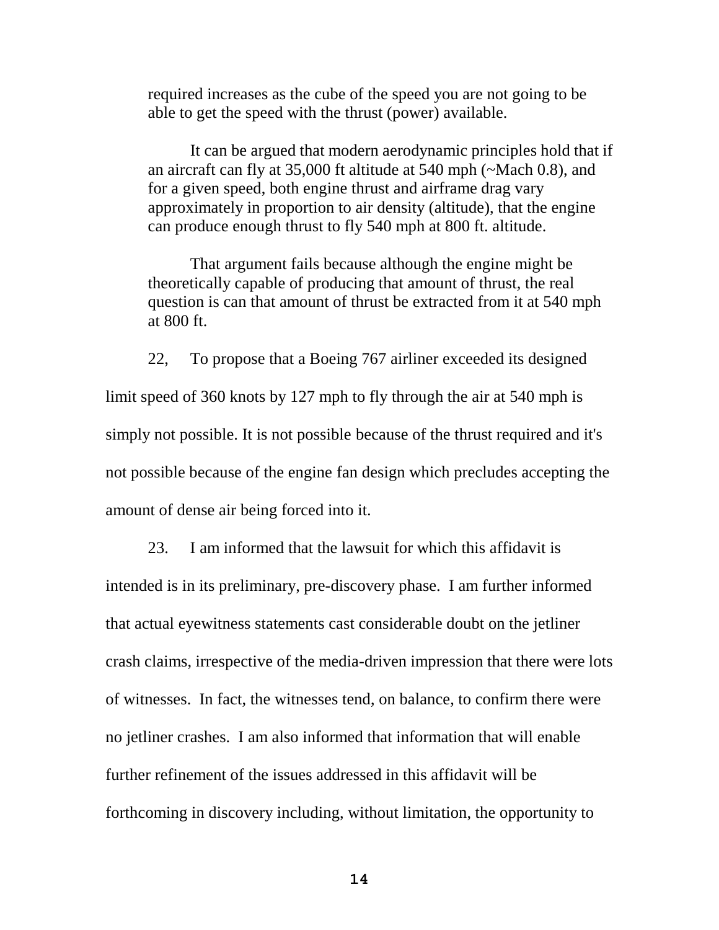required increases as the cube of the speed you are not going to be able to get the speed with the thrust (power) available.

It can be argued that modern aerodynamic principles hold that if an aircraft can fly at 35,000 ft altitude at 540 mph (~Mach 0.8), and for a given speed, both engine thrust and airframe drag vary approximately in proportion to air density (altitude), that the engine can produce enough thrust to fly 540 mph at 800 ft. altitude.

That argument fails because although the engine might be theoretically capable of producing that amount of thrust, the real question is can that amount of thrust be extracted from it at 540 mph at 800 ft.

22, To propose that a Boeing 767 airliner exceeded its designed limit speed of 360 knots by 127 mph to fly through the air at 540 mph is simply not possible. It is not possible because of the thrust required and it's not possible because of the engine fan design which precludes accepting the amount of dense air being forced into it.

23. I am informed that the lawsuit for which this affidavit is intended is in its preliminary, pre-discovery phase. I am further informed that actual eyewitness statements cast considerable doubt on the jetliner crash claims, irrespective of the media-driven impression that there were lots of witnesses. In fact, the witnesses tend, on balance, to confirm there were no jetliner crashes. I am also informed that information that will enable further refinement of the issues addressed in this affidavit will be forthcoming in discovery including, without limitation, the opportunity to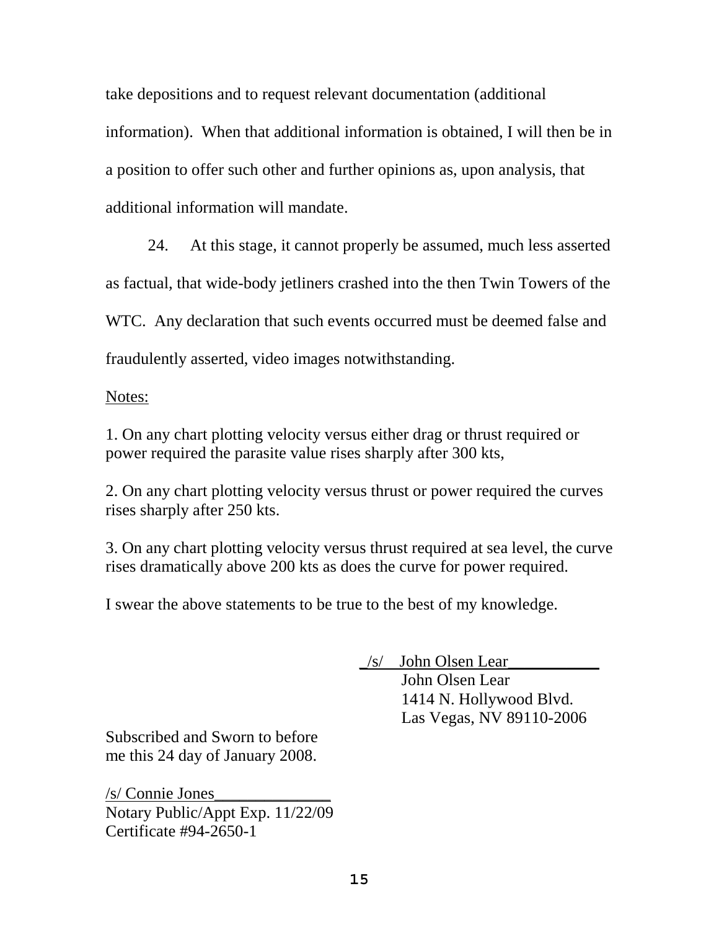take depositions and to request relevant documentation (additional

information). When that additional information is obtained, I will then be in a position to offer such other and further opinions as, upon analysis, that additional information will mandate.

24. At this stage, it cannot properly be assumed, much less asserted as factual, that wide-body jetliners crashed into the then Twin Towers of the WTC. Any declaration that such events occurred must be deemed false and fraudulently asserted, video images notwithstanding.

Notes:

1. On any chart plotting velocity versus either drag or thrust required or power required the parasite value rises sharply after 300 kts,

2. On any chart plotting velocity versus thrust or power required the curves rises sharply after 250 kts.

3. On any chart plotting velocity versus thrust required at sea level, the curve rises dramatically above 200 kts as does the curve for power required.

I swear the above statements to be true to the best of my knowledge.

 $\angle$ s/ John Olsen Lear

John Olsen Lear 1414 N. Hollywood Blvd. Las Vegas, NV 89110-2006

Subscribed and Sworn to before me this 24 day of January 2008.

/s/ Connie Jones\_\_\_\_\_\_\_\_\_\_\_\_\_\_ Notary Public/Appt Exp. 11/22/09 Certificate #94-2650-1